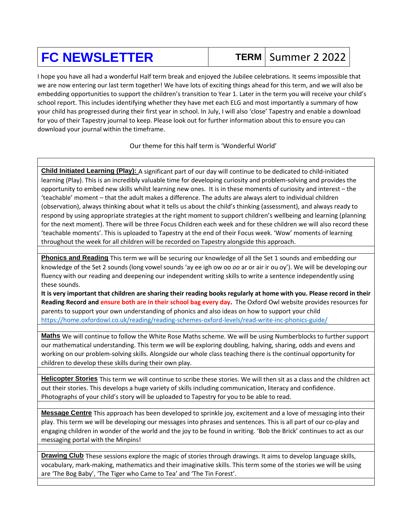## **FC NEWSLETTER** TERM Summer 2 2022

 I hope you have all had a wonderful Half term break and enjoyed the Jubilee celebrations. It seems impossible that we are now entering our last term together! We have lots of exciting things ahead for this term, and we will also be embedding opportunities to support the children's transition to Year 1. Later in the term you will receive your child's school report. This includes identifying whether they have met each ELG and most importantly a summary of how your child has progressed during their first year in school. In July, I will also 'close' Tapestry and enable a download for you of their Tapestry journal to keep. Please look out for further information about this to ensure you can download your journal within the timeframe.

Our theme for this half term is 'Wonderful World'

**Child Initiated Learning (Play):** A significant part of our day will continue to be dedicated to child-initiated learning (Play). This is an incredibly valuable time for developing curiosity and problem-solving and provides the opportunity to embed new skills whilst learning new ones. It is in these moments of curiosity and interest – the 'teachable' moment – that the adult makes a difference. The adults are always alert to individual children (observation), always thinking about what it tells us about the child's thinking (assessment), and always ready to respond by using appropriate strategies at the right moment to support children's wellbeing and learning (planning for the next moment). There will be three Focus Children each week and for these children we will also record these 'teachable moments'. This is uploaded to Tapestry at the end of their Focus week. 'Wow' moments of learning throughout the week for all children will be recorded on Tapestry alongside this approach.

**Phonics and Reading** This term we will be securing our knowledge of all the Set 1 sounds and embedding our knowledge of the Set 2 sounds (long vowel sounds 'ay ee igh ow oo *oo* ar or air ir ou oy'). We will be developing our fluency with our reading and deepening our independent writing skills to write a sentence independently using these sounds.

**It is very important that children are sharing their reading books regularly at home with you. Please record in their Reading Record and ensure both are in their school bag every day.** The Oxford Owl website provides resources for parents to support your own understanding of phonics and also ideas on how to support your child <https://home.oxfordowl.co.uk/reading/reading-schemes-oxford-levels/read-write-inc-phonics-guide/>

**Maths** We will continue to follow the White Rose Maths scheme. We will be using Numberblocks to further support our mathematical understanding. This term we will be exploring doubling, halving, sharing, odds and evens and working on our problem-solving skills. Alongside our whole class teaching there is the continual opportunity for children to develop these skills during their own play.

**Helicopter Stories** This term we will continue to scribe these stories. We will then sit as a class and the children act out their stories. This develops a huge variety of skills including communication, literacy and confidence. Photographs of your child's story will be uploaded to Tapestry for you to be able to read.

**Message Centre** This approach has been developed to sprinkle joy, excitement and a love of messaging into their play. This term we will be developing our messages into phrases and sentences. This is all part of our co-play and engaging children in wonder of the world and the joy to be found in writing. 'Bob the Brick' continues to act as our messaging portal with the Minpins!

**Drawing Club** These sessions explore the magic of stories through drawings. It aims to develop language skills, vocabulary, mark-making, mathematics and their imaginative skills. This term some of the stories we will be using are 'The Bog Baby', 'The Tiger who Came to Tea' and 'The Tin Forest'.